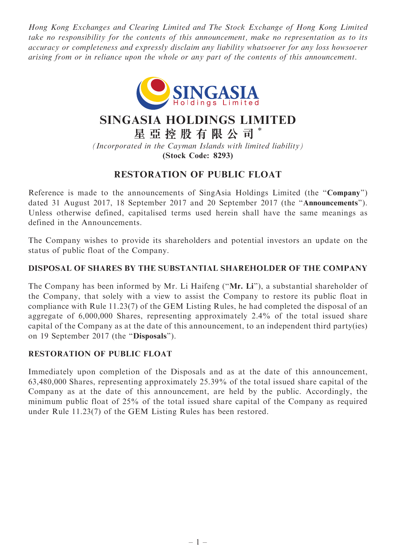Hong Kong Exchanges and Clearing Limited and The Stock Exchange of Hong Kong Limited take no responsibility for the contents of this announcement, make no representation as to its accuracy or completeness and expressly disclaim any liability whatsoever for any loss howsoever arising from or in reliance upon the whole or any part of the contents of this announcement.



# SINGASIA HOLDINGS LIMITED

星 亞 控 股 有 限 公 司 \*

(Incorporated in the Cayman Islands with limited liability) (Stock Code: 8293)

# RESTORATION OF PUBLIC FLOAT

Reference is made to the announcements of SingAsia Holdings Limited (the "Company") dated 31 August 2017, 18 September 2017 and 20 September 2017 (the ''Announcements''). Unless otherwise defined, capitalised terms used herein shall have the same meanings as defined in the Announcements.

The Company wishes to provide its shareholders and potential investors an update on the status of public float of the Company.

## DISPOSAL OF SHARES BY THE SUBSTANTIAL SHAREHOLDER OF THE COMPANY

The Company has been informed by Mr. Li Haifeng (''Mr. Li''), a substantial shareholder of the Company, that solely with a view to assist the Company to restore its public float in compliance with Rule 11.23(7) of the GEM Listing Rules, he had completed the disposal of an aggregate of 6,000,000 Shares, representing approximately 2.4% of the total issued share capital of the Company as at the date of this announcement, to an independent third party(ies) on 19 September 2017 (the ''Disposals'').

### RESTORATION OF PUBLIC FLOAT

Immediately upon completion of the Disposals and as at the date of this announcement, 63,480,000 Shares, representing approximately 25.39% of the total issued share capital of the Company as at the date of this announcement, are held by the public. Accordingly, the minimum public float of 25% of the total issued share capital of the Company as required under Rule 11.23(7) of the GEM Listing Rules has been restored.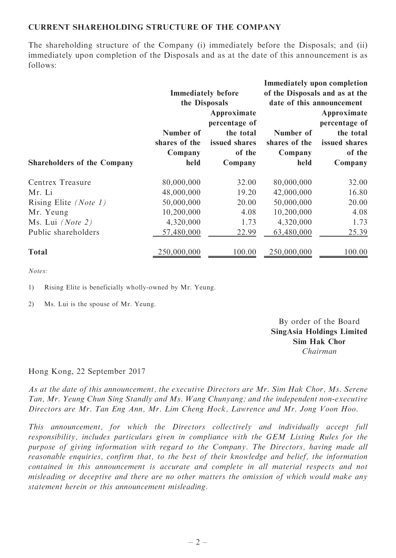#### CURRENT SHAREHOLDING STRUCTURE OF THE COMPANY

The shareholding structure of the Company (i) immediately before the Disposals; and (ii) immediately upon completion of the Disposals and as at the date of this announcement is as follows:

|                                    |                                            |               |                                                             | <b>Immediately upon completion</b> |  |
|------------------------------------|--------------------------------------------|---------------|-------------------------------------------------------------|------------------------------------|--|
|                                    | <b>Immediately before</b><br>the Disposals |               | of the Disposals and as at the<br>date of this announcement |                                    |  |
|                                    |                                            |               |                                                             |                                    |  |
|                                    |                                            | Approximate   |                                                             | Approximate                        |  |
|                                    |                                            | percentage of |                                                             | percentage of                      |  |
|                                    | Number of                                  | the total     | Number of                                                   | the total                          |  |
|                                    | shares of the                              | issued shares | shares of the                                               | issued shares                      |  |
|                                    | Company                                    | of the        | Company                                                     | of the                             |  |
| <b>Shareholders of the Company</b> | held                                       | Company       | held                                                        | Company                            |  |
| Centrex Treasure                   | 80,000,000                                 | 32.00         | 80,000,000                                                  | 32.00                              |  |
| Mr. Li                             | 48,000,000                                 | 19.20         | 42,000,000                                                  | 16.80                              |  |
| Rising Elite (Note 1)              | 50,000,000                                 | 20.00         | 50,000,000                                                  | 20.00                              |  |
| Mr. Yeung                          | 10,200,000                                 | 4.08          | 10,200,000                                                  | 4.08                               |  |
| Ms. Lui $(Note 2)$                 | 4,320,000                                  | 1.73          | 4,320,000                                                   | 1.73                               |  |
| Public shareholders                | 57,480,000                                 | 22.99         | 63,480,000                                                  | 25.39                              |  |
| <b>Total</b>                       | 250,000,000                                | 100.00        | 250,000,000                                                 | 100.00                             |  |

Notes:

1) Rising Elite is beneficially wholly-owned by Mr. Yeung.

2) Ms. Lui is the spouse of Mr. Yeung.

By order of the Board SingAsia Holdings Limited Sim Hak Chor Chairman

#### Hong Kong, 22 September 2017

As at the date of this announcement, the executive Directors are Mr. Sim Hak Chor, Ms. Serene Tan, Mr. Yeung Chun Sing Standly and Ms. Wang Chunyang; and the independent non-executive Directors are Mr. Tan Eng Ann, Mr. Lim Cheng Hock, Lawrence and Mr. Jong Voon Hoo.

This announcement, for which the Directors collectively and individually accept full responsibility, includes particulars given in compliance with the GEM Listing Rules for the purpose of giving information with regard to the Company. The Directors, having made all reasonable enquiries, confirm that, to the best of their knowledge and belief, the information contained in this announcement is accurate and complete in all material respects and not misleading or deceptive and there are no other matters the omission of which would make any statement herein or this announcement misleading.